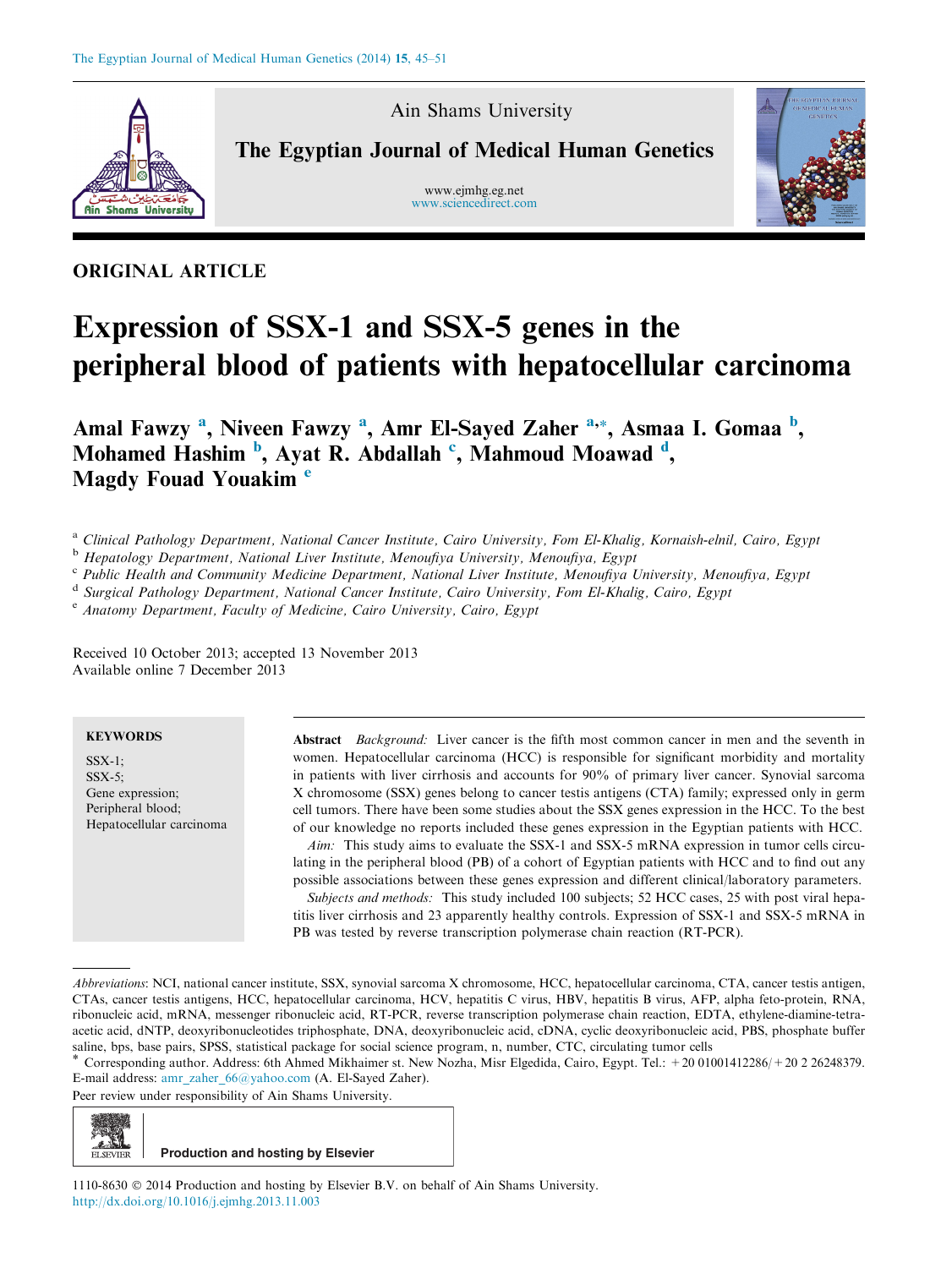

Ain Shams University

The Egyptian Journal of Medical Human Genetics

www.ejmhg.eg.net [www.sciencedirect.com](http://www.sciencedirect.com/science/journal/11108630)



# ORIGINAL ARTICLE

# Expression of SSX-1 and SSX-5 genes in the peripheral blood of patients with hepatocellular carcinoma

Amal Fawzy<sup>a</sup>, Niveen Fawzy<sup>a</sup>, Amr El-Sayed Zaher<sup>a,\*</sup>, Asmaa I. Gomaa <sup>b</sup>, Mohamed Hashim <sup>b</sup>, Ayat R. Abdallah <sup>c</sup>, Mahmoud Moawad <sup>d</sup>, Magdy Fouad Youakim<sup>e</sup>

<sup>a</sup> Clinical Pathology Department, National Cancer Institute, Cairo University, Fom El-Khalig, Kornaish-elnil, Cairo, Egypt

<sup>b</sup> Hepatology Department, National Liver Institute, Menoufiya University, Menoufiya, Egypt

c Public Health and Community Medicine Department, National Liver Institute, Menoufiya University, Menoufiya, Egypt

<sup>d</sup> Surgical Pathology Department, National Cancer Institute, Cairo University, Fom El-Khalig, Cairo, Egypt

<sup>e</sup> Anatomy Department, Faculty of Medicine, Cairo University, Cairo, Egypt

Received 10 October 2013; accepted 13 November 2013 Available online 7 December 2013

### **KEYWORDS**

SSX-1; SSX-5; Gene expression; Peripheral blood; Hepatocellular carcinoma

Abstract Background: Liver cancer is the fifth most common cancer in men and the seventh in women. Hepatocellular carcinoma (HCC) is responsible for significant morbidity and mortality in patients with liver cirrhosis and accounts for 90% of primary liver cancer. Synovial sarcoma X chromosome (SSX) genes belong to cancer testis antigens (CTA) family; expressed only in germ cell tumors. There have been some studies about the SSX genes expression in the HCC. To the best of our knowledge no reports included these genes expression in the Egyptian patients with HCC. Aim: This study aims to evaluate the SSX-1 and SSX-5 mRNA expression in tumor cells circulating in the peripheral blood (PB) of a cohort of Egyptian patients with HCC and to find out any possible associations between these genes expression and different clinical/laboratory parameters. Subjects and methods: This study included 100 subjects; 52 HCC cases, 25 with post viral hepatitis liver cirrhosis and 23 apparently healthy controls. Expression of SSX-1 and SSX-5 mRNA in PB was tested by reverse transcription polymerase chain reaction (RT-PCR).

\* Corresponding author. Address: 6th Ahmed Mikhaimer st. New Nozha, Misr Elgedida, Cairo, Egypt. Tel.: +20 01001412286/+20 2 26248379. E-mail address: [amr\\_zaher\\_66@yahoo.com](mailto:amr_zaher_66@yahoo.com) (A. El-Sayed Zaher).

Peer review under responsibility of Ain Shams University.



1110-8630  $\odot$  2014 Production and hosting by Elsevier B.V. on behalf of Ain Shams University. <http://dx.doi.org/10.1016/j.ejmhg.2013.11.003>

Abbreviations: NCI, national cancer institute, SSX, synovial sarcoma X chromosome, HCC, hepatocellular carcinoma, CTA, cancer testis antigen, CTAs, cancer testis antigens, HCC, hepatocellular carcinoma, HCV, hepatitis C virus, HBV, hepatitis B virus, AFP, alpha feto-protein, RNA, ribonucleic acid, mRNA, messenger ribonucleic acid, RT-PCR, reverse transcription polymerase chain reaction, EDTA, ethylene-diamine-tetraacetic acid, dNTP, deoxyribonucleotides triphosphate, DNA, deoxyribonucleic acid, cDNA, cyclic deoxyribonucleic acid, PBS, phosphate buffer saline, bps, base pairs, SPSS, statistical package for social science program, n, number, CTC, circulating tumor cells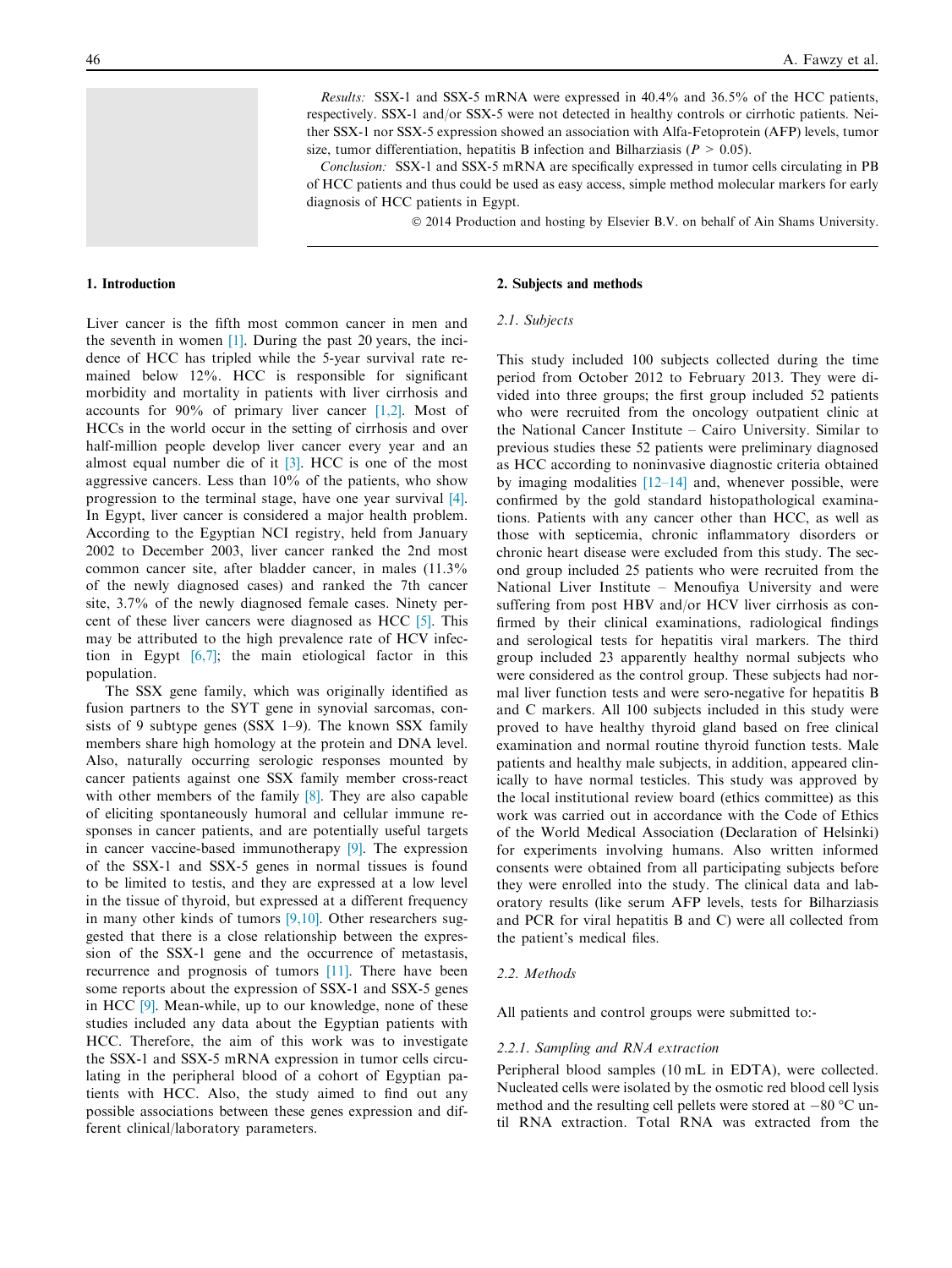Results: SSX-1 and SSX-5 mRNA were expressed in 40.4% and 36.5% of the HCC patients, respectively. SSX-1 and/or SSX-5 were not detected in healthy controls or cirrhotic patients. Neither SSX-1 nor SSX-5 expression showed an association with Alfa-Fetoprotein (AFP) levels, tumor size, tumor differentiation, hepatitis B infection and Bilharziasis ( $P > 0.05$ ).

Conclusion: SSX-1 and SSX-5 mRNA are specifically expressed in tumor cells circulating in PB of HCC patients and thus could be used as easy access, simple method molecular markers for early diagnosis of HCC patients in Egypt.

© 2014 Production and hosting by Elsevier B.V. on behalf of Ain Shams University.

#### 1. Introduction

Liver cancer is the fifth most common cancer in men and the seventh in women [\[1\]](#page-5-0). During the past 20 years, the incidence of HCC has tripled while the 5-year survival rate remained below 12%. HCC is responsible for significant morbidity and mortality in patients with liver cirrhosis and accounts for  $90\%$  of primary liver cancer [\[1,2\]](#page-5-0). Most of HCCs in the world occur in the setting of cirrhosis and over half-million people develop liver cancer every year and an almost equal number die of it [\[3\].](#page-5-0) HCC is one of the most aggressive cancers. Less than 10% of the patients, who show progression to the terminal stage, have one year survival [\[4\]](#page-5-0). In Egypt, liver cancer is considered a major health problem. According to the Egyptian NCI registry, held from January 2002 to December 2003, liver cancer ranked the 2nd most common cancer site, after bladder cancer, in males (11.3% of the newly diagnosed cases) and ranked the 7th cancer site, 3.7% of the newly diagnosed female cases. Ninety percent of these liver cancers were diagnosed as HCC [\[5\].](#page-5-0) This may be attributed to the high prevalence rate of HCV infection in Egypt [\[6,7\];](#page-5-0) the main etiological factor in this population.

The SSX gene family, which was originally identified as fusion partners to the SYT gene in synovial sarcomas, consists of 9 subtype genes (SSX 1–9). The known SSX family members share high homology at the protein and DNA level. Also, naturally occurring serologic responses mounted by cancer patients against one SSX family member cross-react with other members of the family [\[8\]](#page-6-0). They are also capable of eliciting spontaneously humoral and cellular immune responses in cancer patients, and are potentially useful targets in cancer vaccine-based immunotherapy [\[9\].](#page-6-0) The expression of the SSX-1 and SSX-5 genes in normal tissues is found to be limited to testis, and they are expressed at a low level in the tissue of thyroid, but expressed at a different frequency in many other kinds of tumors [\[9,10\].](#page-6-0) Other researchers suggested that there is a close relationship between the expression of the SSX-1 gene and the occurrence of metastasis, recurrence and prognosis of tumors [\[11\]](#page-6-0). There have been some reports about the expression of SSX-1 and SSX-5 genes in HCC [\[9\]](#page-6-0). Mean-while, up to our knowledge, none of these studies included any data about the Egyptian patients with HCC. Therefore, the aim of this work was to investigate the SSX-1 and SSX-5 mRNA expression in tumor cells circulating in the peripheral blood of a cohort of Egyptian patients with HCC. Also, the study aimed to find out any possible associations between these genes expression and different clinical/laboratory parameters.

#### 2. Subjects and methods

# 2.1. Subjects

This study included 100 subjects collected during the time period from October 2012 to February 2013. They were divided into three groups; the first group included 52 patients who were recruited from the oncology outpatient clinic at the National Cancer Institute – Cairo University. Similar to previous studies these 52 patients were preliminary diagnosed as HCC according to noninvasive diagnostic criteria obtained by imaging modalities  $[12-14]$  and, whenever possible, were confirmed by the gold standard histopathological examinations. Patients with any cancer other than HCC, as well as those with septicemia, chronic inflammatory disorders or chronic heart disease were excluded from this study. The second group included 25 patients who were recruited from the National Liver Institute – Menoufiya University and were suffering from post HBV and/or HCV liver cirrhosis as confirmed by their clinical examinations, radiological findings and serological tests for hepatitis viral markers. The third group included 23 apparently healthy normal subjects who were considered as the control group. These subjects had normal liver function tests and were sero-negative for hepatitis B and C markers. All 100 subjects included in this study were proved to have healthy thyroid gland based on free clinical examination and normal routine thyroid function tests. Male patients and healthy male subjects, in addition, appeared clinically to have normal testicles. This study was approved by the local institutional review board (ethics committee) as this work was carried out in accordance with the Code of Ethics of the World Medical Association (Declaration of Helsinki) for experiments involving humans. Also written informed consents were obtained from all participating subjects before they were enrolled into the study. The clinical data and laboratory results (like serum AFP levels, tests for Bilharziasis and PCR for viral hepatitis B and C) were all collected from the patient's medical files.

### 2.2. Methods

All patients and control groups were submitted to:-

#### 2.2.1. Sampling and RNA extraction

Peripheral blood samples (10 mL in EDTA), were collected. Nucleated cells were isolated by the osmotic red blood cell lysis method and the resulting cell pellets were stored at  $-80$  °C until RNA extraction. Total RNA was extracted from the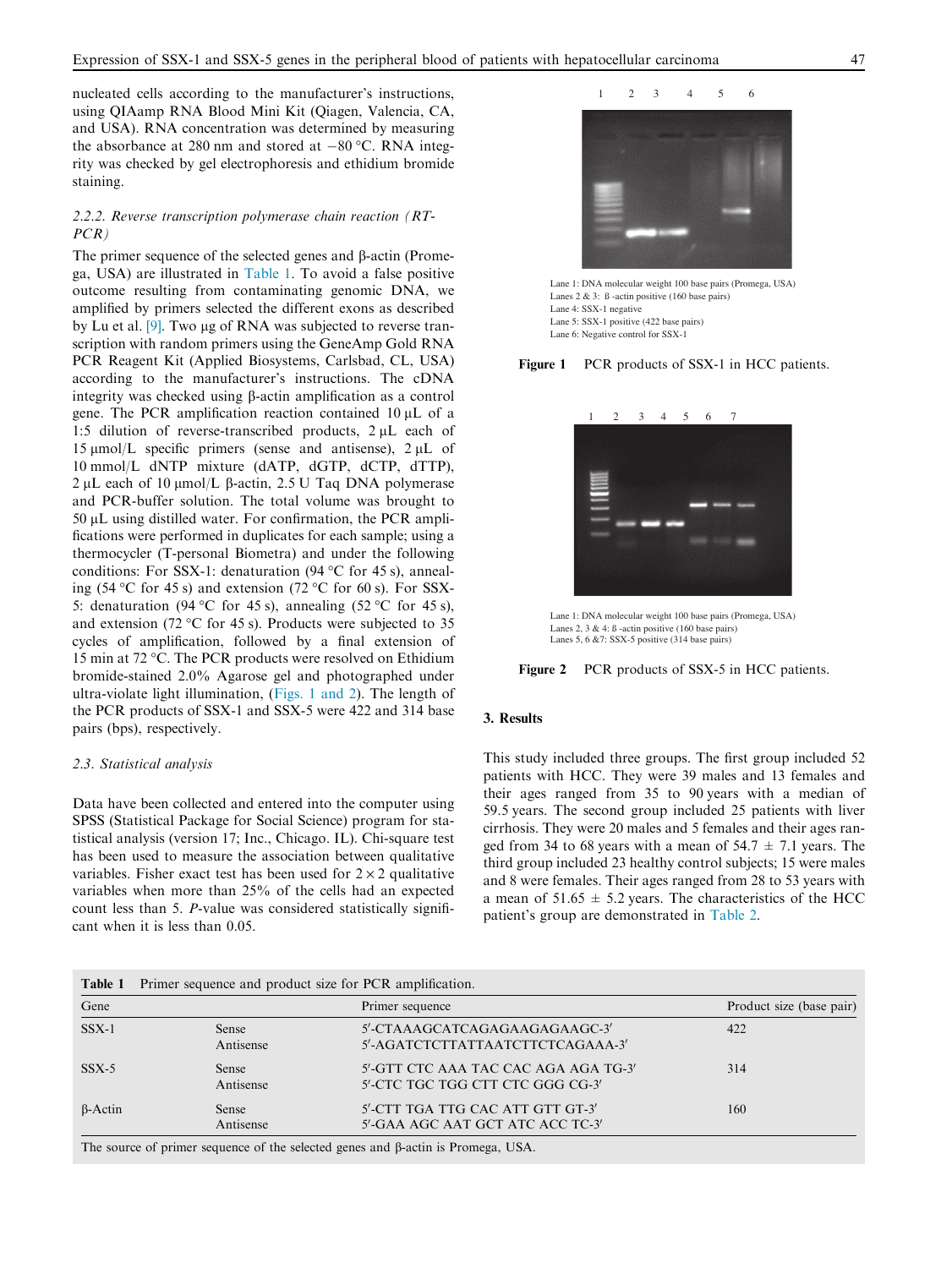<span id="page-2-0"></span>nucleated cells according to the manufacturer's instructions, using QIAamp RNA Blood Mini Kit (Qiagen, Valencia, CA, and USA). RNA concentration was determined by measuring the absorbance at 280 nm and stored at  $-80^{\circ}$ C. RNA integrity was checked by gel electrophoresis and ethidium bromide staining.

# 2.2.2. Reverse transcription polymerase chain reaction (RT- $PCR$

The primer sequence of the selected genes and  $\beta$ -actin (Promega, USA) are illustrated in Table 1. To avoid a false positive outcome resulting from contaminating genomic DNA, we amplified by primers selected the different exons as described by Lu et al. [\[9\].](#page-6-0) Two ug of RNA was subjected to reverse transcription with random primers using the GeneAmp Gold RNA PCR Reagent Kit (Applied Biosystems, Carlsbad, CL, USA) according to the manufacturer's instructions. The cDNA integrity was checked using  $\beta$ -actin amplification as a control gene. The PCR amplification reaction contained  $10 \mu L$  of a 1:5 dilution of reverse-transcribed products,  $2 \mu L$  each of 15  $\mu$ mol/L specific primers (sense and antisense), 2  $\mu$ L of 10 mmol/L dNTP mixture (dATP, dGTP, dCTP, dTTP),  $2 \mu L$  each of 10  $\mu$ mol/L  $\beta$ -actin, 2.5 U Taq DNA polymerase and PCR-buffer solution. The total volume was brought to 50 lL using distilled water. For confirmation, the PCR amplifications were performed in duplicates for each sample; using a thermocycler (T-personal Biometra) and under the following conditions: For SSX-1: denaturation (94  $\degree$ C for 45 s), annealing (54 °C for 45 s) and extension (72 °C for 60 s). For SSX-5: denaturation (94 °C for 45 s), annealing (52 °C for 45 s), and extension (72  $\degree$ C for 45 s). Products were subjected to 35 cycles of amplification, followed by a final extension of 15 min at 72 °C. The PCR products were resolved on Ethidium bromide-stained 2.0% Agarose gel and photographed under ultra-violate light illumination, (Figs. 1 and 2). The length of the PCR products of SSX-1 and SSX-5 were 422 and 314 base pairs (bps), respectively.

# 2.3. Statistical analysis

Data have been collected and entered into the computer using SPSS (Statistical Package for Social Science) program for statistical analysis (version 17; Inc., Chicago. IL). Chi-square test has been used to measure the association between qualitative variables. Fisher exact test has been used for  $2 \times 2$  qualitative variables when more than 25% of the cells had an expected count less than 5. P-value was considered statistically significant when it is less than 0.05.



Lanes 2 & 3: ß -actin positive (160 base pairs) Lane 4: SSX-1 negative Lane 5: SSX-1 positive (422 base pairs) Lane 6: Negative control for SSX-1

Figure 1 PCR products of SSX-1 in HCC patients.



Lane 1: DNA molecular weight 100 base pairs (Promega, USA) Lanes 2, 3 & 4: ß -actin positive (160 base pairs) Lanes 5, 6 &7: SSX-5 positive (314 base pairs)

Figure 2 PCR products of SSX-5 in HCC patients.

### 3. Results

This study included three groups. The first group included 52 patients with HCC. They were 39 males and 13 females and their ages ranged from 35 to 90 years with a median of 59.5 years. The second group included 25 patients with liver cirrhosis. They were 20 males and 5 females and their ages ranged from 34 to 68 years with a mean of  $54.7 \pm 7.1$  years. The third group included 23 healthy control subjects; 15 were males and 8 were females. Their ages ranged from 28 to 53 years with a mean of  $51.65 \pm 5.2$  years. The characteristics of the HCC patient's group are demonstrated in [Table 2.](#page-3-0)

| Primer sequence and product size for PCR amplification.<br>Table 1 |                           |                                                                                         |                          |  |  |  |  |  |  |  |
|--------------------------------------------------------------------|---------------------------|-----------------------------------------------------------------------------------------|--------------------------|--|--|--|--|--|--|--|
| Gene                                                               |                           | Primer sequence                                                                         | Product size (base pair) |  |  |  |  |  |  |  |
| $SSX-1$<br><b>Sense</b><br>Antisense                               |                           | 5'-CTAAAGCATCAGAGAAGAGAAGC-3'<br>5'-AGATCTCTTATTAATCTTCTCAGAAA-3'                       | 422                      |  |  |  |  |  |  |  |
| $SSX-5$                                                            | <b>Sense</b><br>Antisense | 5'-GTT CTC AAA TAC CAC AGA AGA TG-3'<br>5'-CTC TGC TGG CTT CTC GGG CG-3'                | 314                      |  |  |  |  |  |  |  |
| $\beta$ -Actin                                                     | Sense<br>Antisense        | 5'-CTT TGA TTG CAC ATT GTT GT-3'<br>5'-GAA AGC AAT GCT ATC ACC TC-3'                    | 160                      |  |  |  |  |  |  |  |
|                                                                    |                           | The source of primer sequence of the selected genes and $\beta$ -actin is Promega, USA. |                          |  |  |  |  |  |  |  |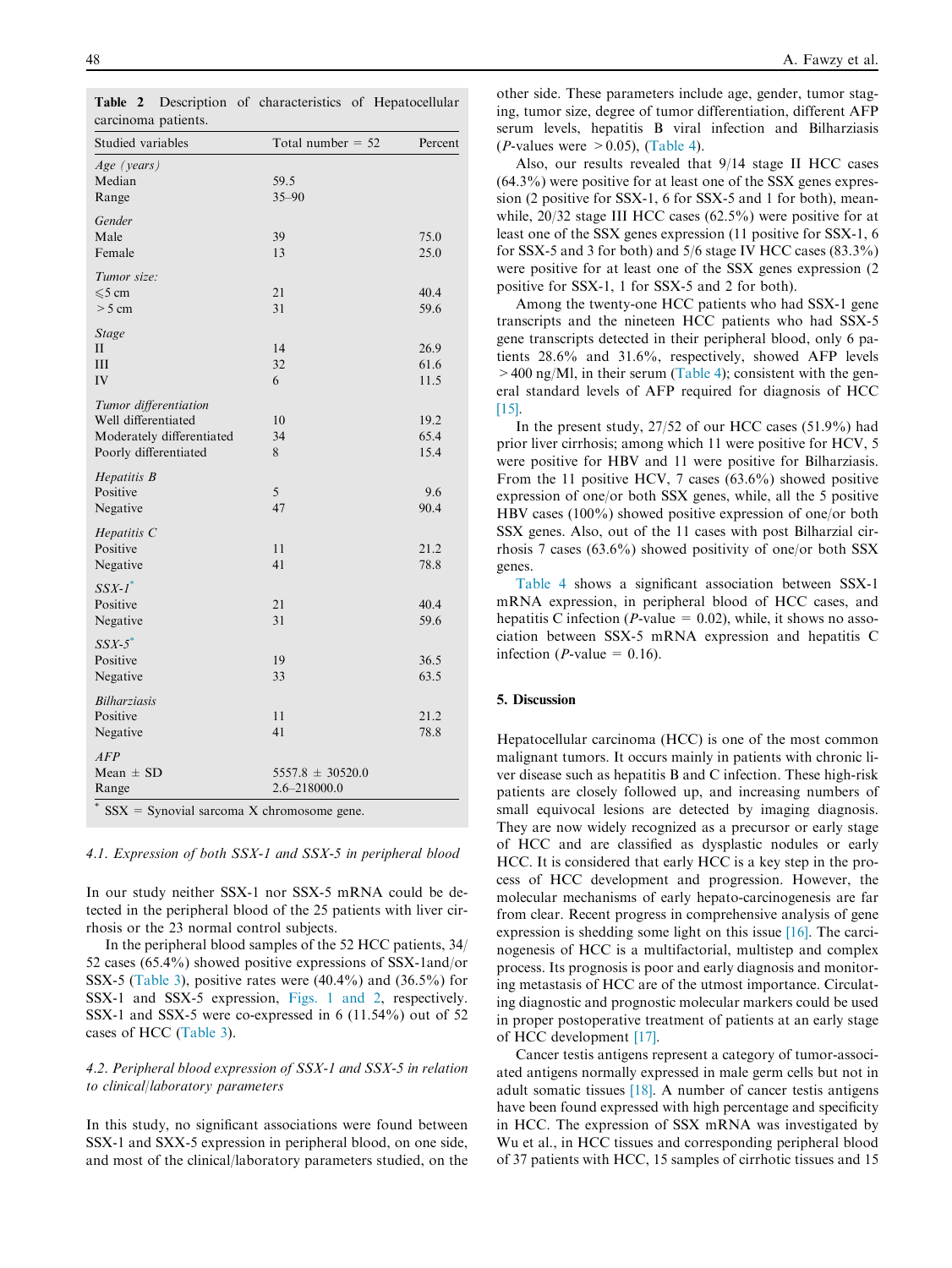| Studied variables         | Total number $= 52$  | Percent |  |  |
|---------------------------|----------------------|---------|--|--|
| Age (years)               |                      |         |  |  |
| Median                    | 59.5                 |         |  |  |
| Range                     | $35 - 90$            |         |  |  |
| Gender                    |                      |         |  |  |
| Male                      | 39                   | 75.0    |  |  |
| Female                    | 13                   | 25.0    |  |  |
| Tumor size:               |                      |         |  |  |
| $\leqslant$ 5 cm          | 21                   | 40.4    |  |  |
| $> 5$ cm                  | 31                   | 59.6    |  |  |
| Stage                     |                      |         |  |  |
| $\mathbf{I}$              | 14                   | 26.9    |  |  |
| III                       | 32                   | 61.6    |  |  |
| IV                        | 6                    | 11.5    |  |  |
| Tumor differentiation     |                      |         |  |  |
| Well differentiated       | 10                   | 19.2    |  |  |
| Moderately differentiated | 34                   | 65.4    |  |  |
| Poorly differentiated     | 8                    | 15.4    |  |  |
| Hepatitis B               |                      |         |  |  |
| Positive                  | 5                    | 9.6     |  |  |
| Negative                  | 47                   | 90.4    |  |  |
| Hepatitis C               |                      |         |  |  |
| Positive                  | 11                   | 21.2    |  |  |
| Negative                  | 41                   | 78.8    |  |  |
| $SSX-I^*$                 |                      |         |  |  |
| Positive                  | 21                   | 40.4    |  |  |
| Negative                  | 31                   | 59.6    |  |  |
| $SSX-5$ <sup>*</sup>      |                      |         |  |  |
| Positive                  | 19                   | 36.5    |  |  |
| Negative                  | 33                   | 63.5    |  |  |
| <b>Bilharziasis</b>       |                      |         |  |  |
| Positive                  | 11                   | 21.2    |  |  |
| Negative                  | 41                   | 78.8    |  |  |
| AFP                       |                      |         |  |  |
| Mean $\pm$ SD             | $5557.8 \pm 30520.0$ |         |  |  |
| Range                     | 2.6-218000.0         |         |  |  |

<span id="page-3-0"></span>Table 2 Description of characteristics of Hepatocellular carcinoma patients.

# 4.1. Expression of both SSX-1 and SSX-5 in peripheral blood

In our study neither SSX-1 nor SSX-5 mRNA could be detected in the peripheral blood of the 25 patients with liver cirrhosis or the 23 normal control subjects.

In the peripheral blood samples of the 52 HCC patients, 34/ 52 cases (65.4%) showed positive expressions of SSX-1and/or SSX-5 [\(Table 3](#page-4-0)), positive rates were (40.4%) and (36.5%) for SSX-1 and SSX-5 expression, [Figs. 1 and 2](#page-2-0), respectively. SSX-1 and SSX-5 were co-expressed in 6 (11.54%) out of 52 cases of HCC [\(Table 3](#page-4-0)).

# 4.2. Peripheral blood expression of SSX-1 and SSX-5 in relation to clinical/laboratory parameters

In this study, no significant associations were found between SSX-1 and SXX-5 expression in peripheral blood, on one side, and most of the clinical/laboratory parameters studied, on the other side. These parameters include age, gender, tumor staging, tumor size, degree of tumor differentiation, different AFP serum levels, hepatitis B viral infection and Bilharziasis (*P*-values were  $> 0.05$ ), [\(Table 4\)](#page-4-0).

Also, our results revealed that 9/14 stage II HCC cases  $(64.3\%)$  were positive for at least one of the SSX genes expression (2 positive for SSX-1, 6 for SSX-5 and 1 for both), meanwhile, 20/32 stage III HCC cases (62.5%) were positive for at least one of the SSX genes expression (11 positive for SSX-1, 6 for SSX-5 and 3 for both) and 5/6 stage IV HCC cases (83.3%) were positive for at least one of the SSX genes expression (2 positive for SSX-1, 1 for SSX-5 and 2 for both).

Among the twenty-one HCC patients who had SSX-1 gene transcripts and the nineteen HCC patients who had SSX-5 gene transcripts detected in their peripheral blood, only 6 patients 28.6% and 31.6%, respectively, showed AFP levels  $>400$  ng/Ml, in their serum ([Table 4\)](#page-4-0); consistent with the general standard levels of AFP required for diagnosis of HCC [\[15\].](#page-6-0)

In the present study, 27/52 of our HCC cases (51.9%) had prior liver cirrhosis; among which 11 were positive for HCV, 5 were positive for HBV and 11 were positive for Bilharziasis. From the 11 positive HCV, 7 cases (63.6%) showed positive expression of one/or both SSX genes, while, all the 5 positive HBV cases (100%) showed positive expression of one/or both SSX genes. Also, out of the 11 cases with post Bilharzial cirrhosis 7 cases (63.6%) showed positivity of one/or both SSX genes.

[Table 4](#page-4-0) shows a significant association between SSX-1 mRNA expression, in peripheral blood of HCC cases, and hepatitis C infection (*P*-value = 0.02), while, it shows no association between SSX-5 mRNA expression and hepatitis C infection (*P*-value =  $0.16$ ).

#### 5. Discussion

Hepatocellular carcinoma (HCC) is one of the most common malignant tumors. It occurs mainly in patients with chronic liver disease such as hepatitis B and C infection. These high-risk patients are closely followed up, and increasing numbers of small equivocal lesions are detected by imaging diagnosis. They are now widely recognized as a precursor or early stage of HCC and are classified as dysplastic nodules or early HCC. It is considered that early HCC is a key step in the process of HCC development and progression. However, the molecular mechanisms of early hepato-carcinogenesis are far from clear. Recent progress in comprehensive analysis of gene expression is shedding some light on this issue [\[16\].](#page-6-0) The carcinogenesis of HCC is a multifactorial, multistep and complex process. Its prognosis is poor and early diagnosis and monitoring metastasis of HCC are of the utmost importance. Circulating diagnostic and prognostic molecular markers could be used in proper postoperative treatment of patients at an early stage of HCC development [\[17\].](#page-6-0)

Cancer testis antigens represent a category of tumor-associated antigens normally expressed in male germ cells but not in adult somatic tissues [\[18\]](#page-6-0). A number of cancer testis antigens have been found expressed with high percentage and specificity in HCC. The expression of SSX mRNA was investigated by Wu et al., in HCC tissues and corresponding peripheral blood of 37 patients with HCC, 15 samples of cirrhotic tissues and 15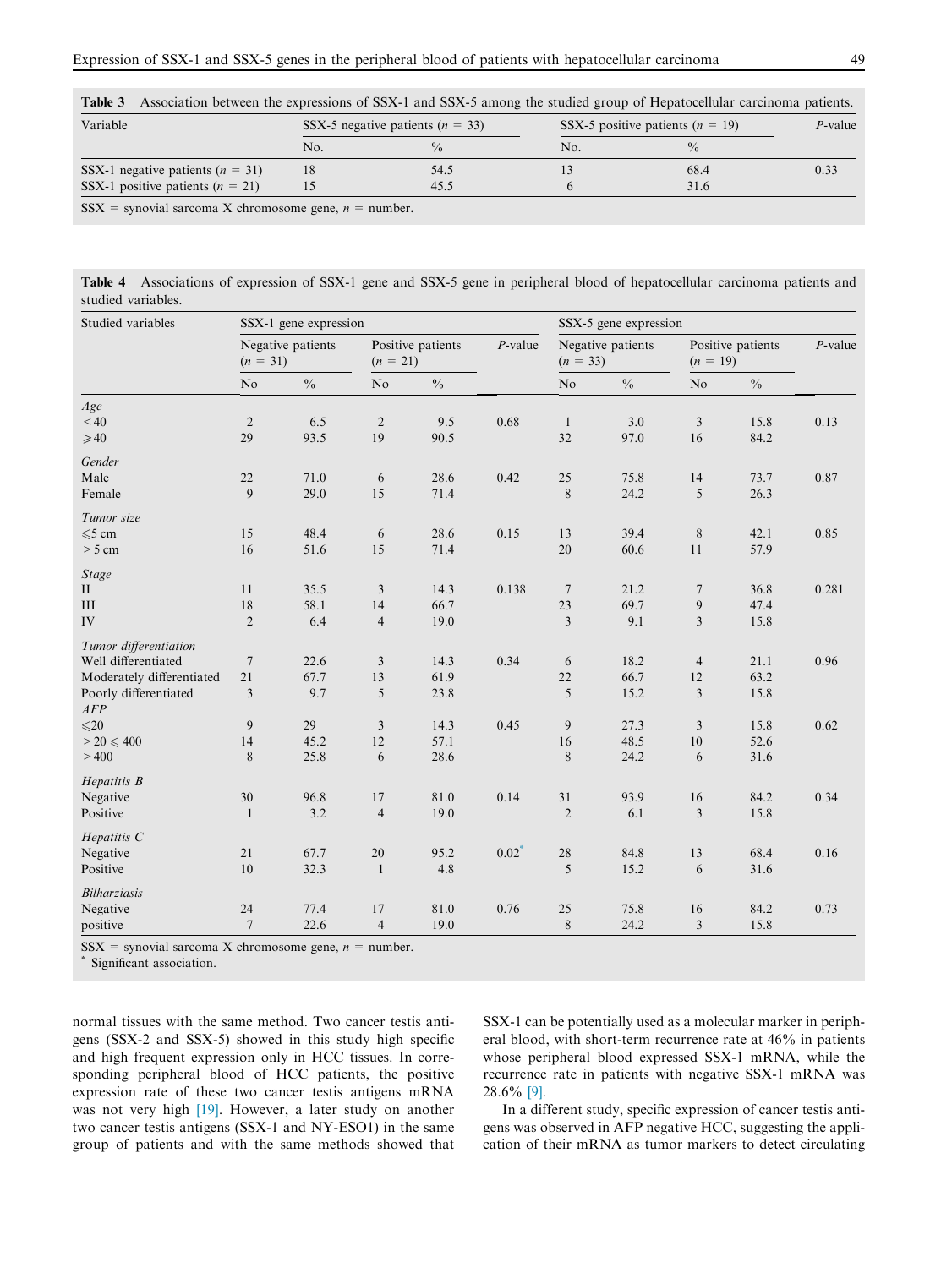<span id="page-4-0"></span>

|  |  |  | Table 3 Association between the expressions of SSX-1 and SSX-5 among the studied group of Hepatocellular carcinoma patients. |
|--|--|--|------------------------------------------------------------------------------------------------------------------------------|
|--|--|--|------------------------------------------------------------------------------------------------------------------------------|

| Variable                           |     | SSX-5 negative patients ( $n = 33$ ) |     | SSX-5 positive patients $(n = 19)$ |      |  |
|------------------------------------|-----|--------------------------------------|-----|------------------------------------|------|--|
|                                    | No. | $\frac{0}{0}$                        | No. |                                    |      |  |
| SSX-1 negative patients $(n = 31)$ |     | 54.5                                 |     | 68.4                               | 0.33 |  |
| SSX-1 positive patients $(n = 21)$ |     | 45.5                                 |     | 31.6                               |      |  |

 $SSX =$  synovial sarcoma X chromosome gene,  $n =$  number.

|                    |  |  |  | Table 4 Associations of expression of SSX-1 gene and SSX-5 gene in peripheral blood of hepatocellular carcinoma patients and |  |  |
|--------------------|--|--|--|------------------------------------------------------------------------------------------------------------------------------|--|--|
| studied variables. |  |  |  |                                                                                                                              |  |  |

| Studied variables         | SSX-1 gene expression           |               |                |                                 |          |                                 | SSX-5 gene expression |                                 |               |            |  |
|---------------------------|---------------------------------|---------------|----------------|---------------------------------|----------|---------------------------------|-----------------------|---------------------------------|---------------|------------|--|
|                           | Negative patients<br>$(n = 31)$ |               |                | Positive patients<br>$(n = 21)$ |          | Negative patients<br>$(n = 33)$ |                       | Positive patients<br>$(n = 19)$ |               | $P$ -value |  |
|                           | No.                             | $\frac{0}{0}$ | No             | $\frac{0}{0}$                   |          | No                              | $\frac{0}{0}$         | N <sub>o</sub>                  | $\frac{0}{0}$ |            |  |
| Age                       |                                 |               |                |                                 |          |                                 |                       |                                 |               |            |  |
| < 40                      | $\mathfrak{2}$                  | 6.5           | $\sqrt{2}$     | 9.5                             | 0.68     | $\mathbf{1}$                    | 3.0                   | $\mathfrak{Z}$                  | 15.8          | 0.13       |  |
| $\geqslant$ 40            | 29                              | 93.5          | 19             | 90.5                            |          | 32                              | 97.0                  | 16                              | 84.2          |            |  |
| Gender                    |                                 |               |                |                                 |          |                                 |                       |                                 |               |            |  |
| Male                      | 22                              | 71.0          | 6              | 28.6                            | 0.42     | 25                              | 75.8                  | 14                              | 73.7          | 0.87       |  |
| Female                    | 9                               | 29.0          | 15             | 71.4                            |          | 8                               | 24.2                  | 5                               | 26.3          |            |  |
| Tumor size                |                                 |               |                |                                 |          |                                 |                       |                                 |               |            |  |
| $\leqslant$ 5 cm          | 15                              | 48.4          | 6              | 28.6                            | 0.15     | 13                              | 39.4                  | $\,$ 8 $\,$                     | 42.1          | 0.85       |  |
| $> 5$ cm                  | 16                              | 51.6          | 15             | 71.4                            |          | 20                              | 60.6                  | 11                              | 57.9          |            |  |
| <b>Stage</b>              |                                 |               |                |                                 |          |                                 |                       |                                 |               |            |  |
| $\mathbf{I}$              | 11                              | 35.5          | 3              | 14.3                            | 0.138    | $\overline{7}$                  | 21.2                  | $\overline{7}$                  | 36.8          | 0.281      |  |
| III                       | 18                              | 58.1          | 14             | 66.7                            |          | 23                              | 69.7                  | $\overline{9}$                  | 47.4          |            |  |
| IV                        | $\sqrt{2}$                      | 6.4           | $\overline{4}$ | 19.0                            |          | $\mathfrak{Z}$                  | 9.1                   | $\mathfrak{Z}$                  | 15.8          |            |  |
| Tumor differentiation     |                                 |               |                |                                 |          |                                 |                       |                                 |               |            |  |
| Well differentiated       | $\boldsymbol{7}$                | 22.6          | 3              | 14.3                            | 0.34     | 6                               | 18.2                  | $\overline{4}$                  | 21.1          | 0.96       |  |
| Moderately differentiated | 21                              | 67.7          | 13             | 61.9                            |          | 22                              | 66.7                  | 12                              | 63.2          |            |  |
| Poorly differentiated     | 3                               | 9.7           | 5              | 23.8                            |          | 5                               | 15.2                  | $\mathfrak{Z}$                  | 15.8          |            |  |
| AFP                       |                                 |               |                |                                 |          |                                 |                       |                                 |               |            |  |
| ${\leq}20$                | 9                               | 29            | 3              | 14.3                            | 0.45     | 9                               | 27.3                  | 3                               | 15.8          | 0.62       |  |
| $>20 \leq 400$            | 14                              | 45.2          | 12             | 57.1                            |          | 16                              | 48.5                  | 10                              | 52.6          |            |  |
| >400                      | 8                               | 25.8          | 6              | 28.6                            |          | 8                               | 24.2                  | 6                               | 31.6          |            |  |
| Hepatitis B               |                                 |               |                |                                 |          |                                 |                       |                                 |               |            |  |
| Negative                  | 30                              | 96.8          | 17             | $81.0\,$                        | 0.14     | 31                              | 93.9                  | 16                              | 84.2          | 0.34       |  |
| Positive                  | $\mathbf{1}$                    | 3.2           | $\overline{4}$ | 19.0                            |          | $\overline{2}$                  | 6.1                   | 3                               | 15.8          |            |  |
| Hepatitis C               |                                 |               |                |                                 |          |                                 |                       |                                 |               |            |  |
| Negative                  | 21                              | 67.7          | $20\,$         | 95.2                            | $0.02^*$ | 28                              | 84.8                  | 13                              | 68.4          | 0.16       |  |
| Positive                  | 10                              | 32.3          | 1              | 4.8                             |          | 5                               | 15.2                  | 6                               | 31.6          |            |  |
| Bilharziasis              |                                 |               |                |                                 |          |                                 |                       |                                 |               |            |  |
| Negative                  | 24                              | 77.4          | 17             | 81.0                            | 0.76     | 25                              | 75.8                  | 16                              | 84.2          | 0.73       |  |
| positive                  | $\overline{7}$                  | 22.6          | $\overline{4}$ | 19.0                            |          | $\,$ 8 $\,$                     | 24.2                  | $\mathfrak{Z}$                  | 15.8          |            |  |

Significant association.

normal tissues with the same method. Two cancer testis antigens (SSX-2 and SSX-5) showed in this study high specific and high frequent expression only in HCC tissues. In corresponding peripheral blood of HCC patients, the positive expression rate of these two cancer testis antigens mRNA was not very high [\[19\].](#page-6-0) However, a later study on another two cancer testis antigens (SSX-1 and NY-ESO1) in the same group of patients and with the same methods showed that SSX-1 can be potentially used as a molecular marker in peripheral blood, with short-term recurrence rate at 46% in patients whose peripheral blood expressed SSX-1 mRNA, while the recurrence rate in patients with negative SSX-1 mRNA was 28.6% [\[9\].](#page-6-0)

In a different study, specific expression of cancer testis antigens was observed in AFP negative HCC, suggesting the application of their mRNA as tumor markers to detect circulating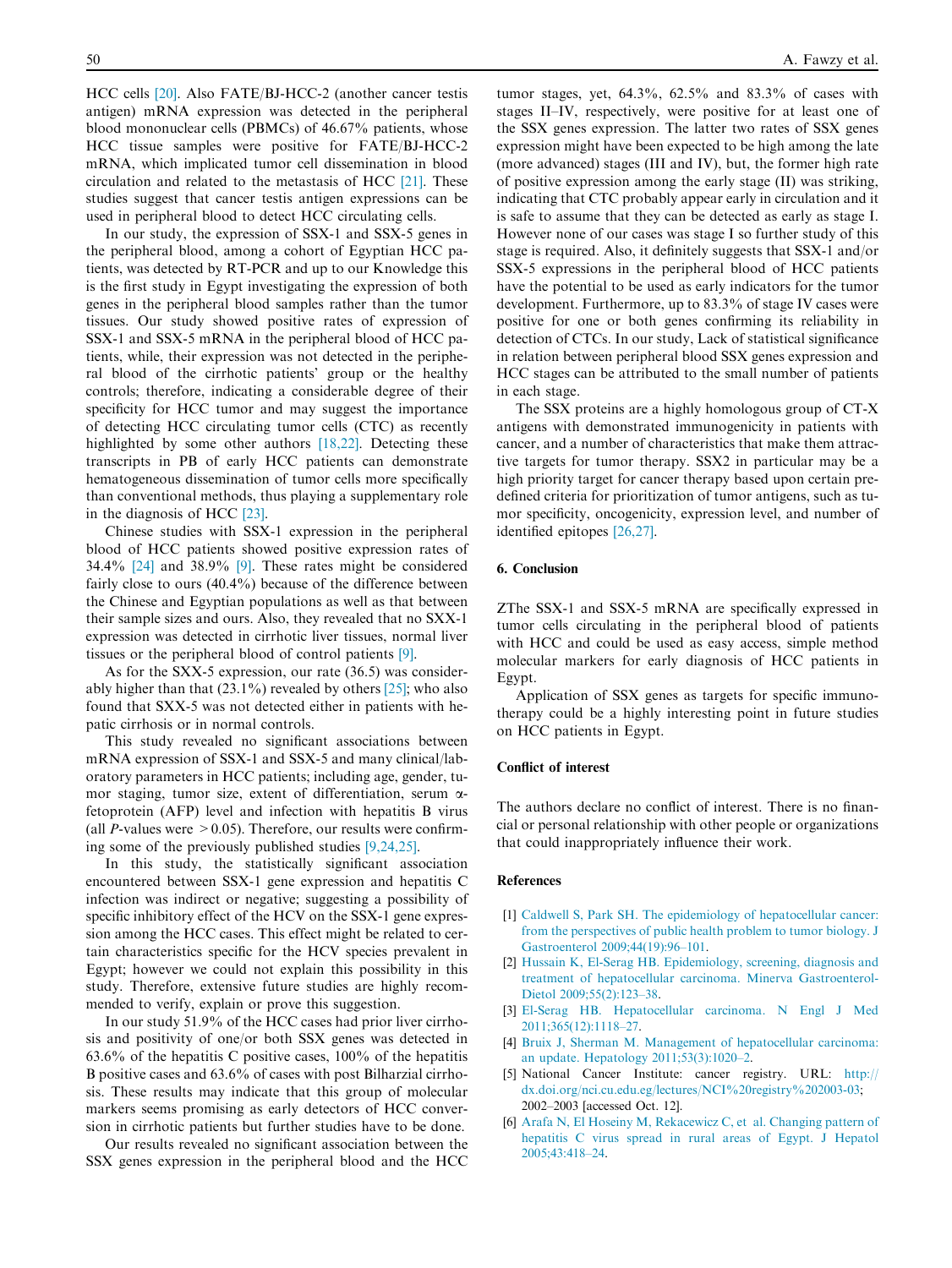<span id="page-5-0"></span>HCC cells [\[20\].](#page-6-0) Also FATE/BJ-HCC-2 (another cancer testis antigen) mRNA expression was detected in the peripheral blood mononuclear cells (PBMCs) of 46.67% patients, whose HCC tissue samples were positive for FATE/BJ-HCC-2 mRNA, which implicated tumor cell dissemination in blood circulation and related to the metastasis of HCC [\[21\].](#page-6-0) These studies suggest that cancer testis antigen expressions can be used in peripheral blood to detect HCC circulating cells.

In our study, the expression of SSX-1 and SSX-5 genes in the peripheral blood, among a cohort of Egyptian HCC patients, was detected by RT-PCR and up to our Knowledge this is the first study in Egypt investigating the expression of both genes in the peripheral blood samples rather than the tumor tissues. Our study showed positive rates of expression of SSX-1 and SSX-5 mRNA in the peripheral blood of HCC patients, while, their expression was not detected in the peripheral blood of the cirrhotic patients' group or the healthy controls; therefore, indicating a considerable degree of their specificity for HCC tumor and may suggest the importance of detecting HCC circulating tumor cells (CTC) as recently highlighted by some other authors [\[18,22\].](#page-6-0) Detecting these transcripts in PB of early HCC patients can demonstrate hematogeneous dissemination of tumor cells more specifically than conventional methods, thus playing a supplementary role in the diagnosis of HCC [\[23\].](#page-6-0)

Chinese studies with SSX-1 expression in the peripheral blood of HCC patients showed positive expression rates of 34.4% [\[24\]](#page-6-0) and 38.9% [\[9\]](#page-6-0). These rates might be considered fairly close to ours (40.4%) because of the difference between the Chinese and Egyptian populations as well as that between their sample sizes and ours. Also, they revealed that no SXX-1 expression was detected in cirrhotic liver tissues, normal liver tissues or the peripheral blood of control patients [\[9\].](#page-6-0)

As for the SXX-5 expression, our rate (36.5) was considerably higher than that  $(23.1\%)$  revealed by others [\[25\]](#page-6-0); who also found that SXX-5 was not detected either in patients with hepatic cirrhosis or in normal controls.

This study revealed no significant associations between mRNA expression of SSX-1 and SSX-5 and many clinical/laboratory parameters in HCC patients; including age, gender, tumor staging, tumor size, extent of differentiation, serum afetoprotein (AFP) level and infection with hepatitis B virus (all *P*-values were  $> 0.05$ ). Therefore, our results were confirming some of the previously published studies [\[9,24,25\].](#page-6-0)

In this study, the statistically significant association encountered between SSX-1 gene expression and hepatitis C infection was indirect or negative; suggesting a possibility of specific inhibitory effect of the HCV on the SSX-1 gene expression among the HCC cases. This effect might be related to certain characteristics specific for the HCV species prevalent in Egypt; however we could not explain this possibility in this study. Therefore, extensive future studies are highly recommended to verify, explain or prove this suggestion.

In our study 51.9% of the HCC cases had prior liver cirrhosis and positivity of one/or both SSX genes was detected in 63.6% of the hepatitis C positive cases, 100% of the hepatitis B positive cases and 63.6% of cases with post Bilharzial cirrhosis. These results may indicate that this group of molecular markers seems promising as early detectors of HCC conversion in cirrhotic patients but further studies have to be done.

Our results revealed no significant association between the SSX genes expression in the peripheral blood and the HCC

tumor stages, yet,  $64.3\%$ ,  $62.5\%$  and  $83.3\%$  of cases with stages II–IV, respectively, were positive for at least one of the SSX genes expression. The latter two rates of SSX genes expression might have been expected to be high among the late (more advanced) stages (III and IV), but, the former high rate of positive expression among the early stage (II) was striking, indicating that CTC probably appear early in circulation and it is safe to assume that they can be detected as early as stage I. However none of our cases was stage I so further study of this stage is required. Also, it definitely suggests that SSX-1 and/or SSX-5 expressions in the peripheral blood of HCC patients have the potential to be used as early indicators for the tumor development. Furthermore, up to 83.3% of stage IV cases were positive for one or both genes confirming its reliability in detection of CTCs. In our study, Lack of statistical significance in relation between peripheral blood SSX genes expression and HCC stages can be attributed to the small number of patients in each stage.

The SSX proteins are a highly homologous group of CT-X antigens with demonstrated immunogenicity in patients with cancer, and a number of characteristics that make them attractive targets for tumor therapy. SSX2 in particular may be a high priority target for cancer therapy based upon certain predefined criteria for prioritization of tumor antigens, such as tumor specificity, oncogenicity, expression level, and number of identified epitopes [\[26,27\]](#page-6-0).

#### 6. Conclusion

ZThe SSX-1 and SSX-5 mRNA are specifically expressed in tumor cells circulating in the peripheral blood of patients with HCC and could be used as easy access, simple method molecular markers for early diagnosis of HCC patients in Egypt.

Application of SSX genes as targets for specific immunotherapy could be a highly interesting point in future studies on HCC patients in Egypt.

### Conflict of interest

The authors declare no conflict of interest. There is no financial or personal relationship with other people or organizations that could inappropriately influence their work.

#### References

- [1] [Caldwell S, Park SH. The epidemiology of hepatocellular cancer:](http://refhub.elsevier.com/S1110-8630(13)00091-8/h0005) [from the perspectives of public health problem to tumor biology. J](http://refhub.elsevier.com/S1110-8630(13)00091-8/h0005) [Gastroenterol 2009;44\(19\):96–101.](http://refhub.elsevier.com/S1110-8630(13)00091-8/h0005)
- [2] [Hussain K, El-Serag HB. Epidemiology, screening, diagnosis and](http://refhub.elsevier.com/S1110-8630(13)00091-8/h0010) [treatment of hepatocellular carcinoma. Minerva Gastroenterol-](http://refhub.elsevier.com/S1110-8630(13)00091-8/h0010)[Dietol 2009;55\(2\):123–38.](http://refhub.elsevier.com/S1110-8630(13)00091-8/h0010)
- [3] [El-Serag HB. Hepatocellular carcinoma. N Engl J Med](http://refhub.elsevier.com/S1110-8630(13)00091-8/h0015) [2011;365\(12\):1118–27.](http://refhub.elsevier.com/S1110-8630(13)00091-8/h0015)
- [4] [Bruix J, Sherman M. Management of hepatocellular carcinoma:](http://refhub.elsevier.com/S1110-8630(13)00091-8/h0020) [an update. Hepatology 2011;53\(3\):1020–2](http://refhub.elsevier.com/S1110-8630(13)00091-8/h0020).
- [5] National Cancer Institute: cancer registry. URL: [http://](http://dx.doi.org/nci.cu.edu.eg/lectures/NCI%20registry%202003-03) [dx.doi.org/nci.cu.edu.eg/lectures/NCI%20registry%202003-03](http://dx.doi.org/nci.cu.edu.eg/lectures/NCI%20registry%202003-03); 2002–2003 [accessed Oct. 12].
- [6] [Arafa N, El Hoseiny M, Rekacewicz C, et al. Changing pattern of](http://refhub.elsevier.com/S1110-8630(13)00091-8/h0030) [hepatitis C virus spread in rural areas of Egypt. J Hepatol](http://refhub.elsevier.com/S1110-8630(13)00091-8/h0030) [2005;43:418–24](http://refhub.elsevier.com/S1110-8630(13)00091-8/h0030).